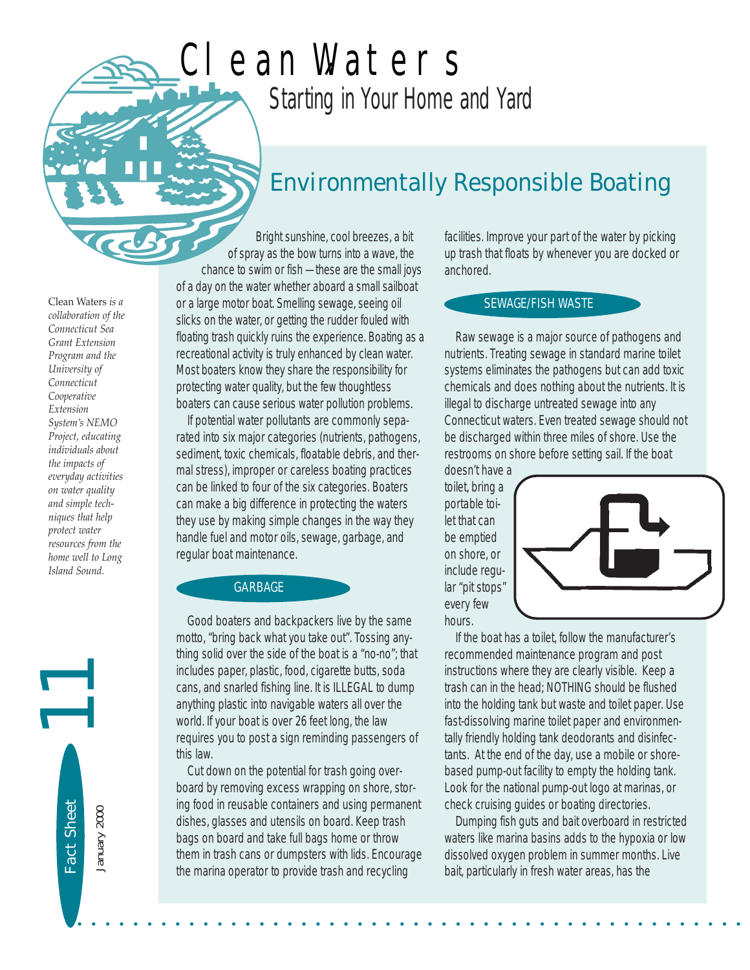# *Starting in Your Home and Yard* Clean Waters

## *Environmentally Responsible Boating*

Clean Waters *is a collaboration of the Connecticut Sea Grant Extension Program and the University of Connecticut Cooperative Extension System's NEMO Project, educating individuals about the impacts of everyday activities on water quality and simple techniques that help protect water resources from the home well to Long Island Sound.* 

Fact Sheet<br>January 2000

Bright sunshine, cool breezes, a bit of spray as the bow turns into a wave, the chance to swim or fish — these are the small joys of a day on the water whether aboard a small sailboat or a large motor boat. Smelling sewage, seeing oil slicks on the water, or getting the rudder fouled with floating trash quickly ruins the experience. Boating as a recreational activity is truly enhanced by clean water. Most boaters know they share the responsibility for protecting water quality, but the few thoughtless boaters can cause serious water pollution problems.

If potential water pollutants are commonly separated into six major categories (nutrients, pathogens, sediment, toxic chemicals, floatable debris, and thermal stress), improper or careless boating practices can be linked to four of the six categories. Boaters can make a big difference in protecting the waters they use by making simple changes in the way they handle fuel and motor oils, sewage, garbage, and regular boat maintenance.

#### GARBAGE

Good boaters and backpackers live by the same motto, "bring back what you take out". Tossing anything solid over the side of the boat is a "no-no"; that includes paper, plastic, food, cigarette butts, soda cans, and snarled fishing line. It is ILLEGAL to dump anything plastic into navigable waters all over the world. If your boat is over 26 feet long, the law requires you to post a sign reminding passengers of this law.

Cut down on the potential for trash going overboard by removing excess wrapping on shore, storing food in reusable containers and using permanent dishes, glasses and utensils on board. Keep trash bags on board and take full bags home or throw them in trash cans or dumpsters with lids. Encourage the marina operator to provide trash and recycling

• • • • • • • • • • • • • • • • • • • • • • • • • • • • • • • • • • • • • • • • • • • • • • • •

facilities. Improve your part of the water by picking up trash that floats by whenever you are docked or anchored.

### SEWAGE/FISH WASTE

Raw sewage is a major source of pathogens and nutrients. Treating sewage in standard marine toilet systems eliminates the pathogens but can add toxic chemicals and does nothing about the nutrients. It is illegal to discharge untreated sewage into any Connecticut waters. Even treated sewage should not be discharged within three miles of shore. Use the restrooms on shore before setting sail. If the boat

doesn't have a toilet, bring a portable toilet that can be emptied on shore, or include regular "pit stops" every few hours.



If the boat has a toilet, follow the manufacturer's recommended maintenance program and post instructions where they are clearly visible. Keep a trash can in the head; NOTHING should be flushed into the holding tank but waste and toilet paper. Use fast-dissolving marine toilet paper and environmentally friendly holding tank deodorants and disinfectants. At the end of the day, use a mobile or shorebased pump-out facility to empty the holding tank. Look for the national pump-out logo at marinas, or check cruising guides or boating directories.

Dumping fish guts and bait overboard in restricted waters like marina basins adds to the hypoxia or low dissolved oxygen problem in summer months. Live bait, particularly in fresh water areas, has the